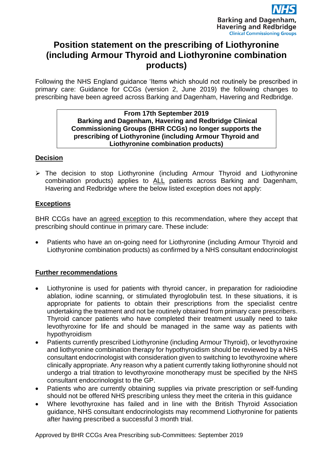

# **Position statement on the prescribing of Liothyronine (including Armour Thyroid and Liothyronine combination products)**

Following the NHS England guidance 'Items which should not routinely be prescribed in primary care: Guidance for CCGs (version 2, June 2019) the following changes to prescribing have been agreed across Barking and Dagenham, Havering and Redbridge.

#### **From 17th September 2019 Barking and Dagenham, Havering and Redbridge Clinical Commissioning Groups (BHR CCGs) no longer supports the prescribing of Liothyronine (including Armour Thyroid and Liothyronine combination products)**

# **Decision**

 The decision to stop Liothyronine (including Armour Thyroid and Liothyronine combination products) applies to ALL patients across Barking and Dagenham, Havering and Redbridge where the below listed exception does not apply:

## **Exceptions**

BHR CCGs have an agreed exception to this recommendation, where they accept that prescribing should continue in primary care. These include:

 Patients who have an on-going need for Liothyronine (including Armour Thyroid and Liothyronine combination products) as confirmed by a NHS consultant endocrinologist

# **Further recommendations**

- Liothyronine is used for patients with thyroid cancer, in preparation for radioiodine ablation, iodine scanning, or stimulated thyroglobulin test. In these situations, it is appropriate for patients to obtain their prescriptions from the specialist centre undertaking the treatment and not be routinely obtained from primary care prescribers. Thyroid cancer patients who have completed their treatment usually need to take levothyroxine for life and should be managed in the same way as patients with hypothyroidism
- Patients currently prescribed Liothyronine (including Armour Thyroid), or levothyroxine and liothyronine combination therapy for hypothyroidism should be reviewed by a NHS consultant endocrinologist with consideration given to switching to levothyroxine where clinically appropriate. Any reason why a patient currently taking liothyronine should not undergo a trial titration to levothyroxine monotherapy must be specified by the NHS consultant endocrinologist to the GP.
- Patients who are currently obtaining supplies via private prescription or self-funding should not be offered NHS prescribing unless they meet the criteria in this guidance
- Where levothyroxine has failed and in line with the British Thyroid Association guidance, NHS consultant endocrinologists may recommend Liothyronine for patients after having prescribed a successful 3 month trial.

Approved by BHR CCGs Area Prescribing sub-Committees: September 2019